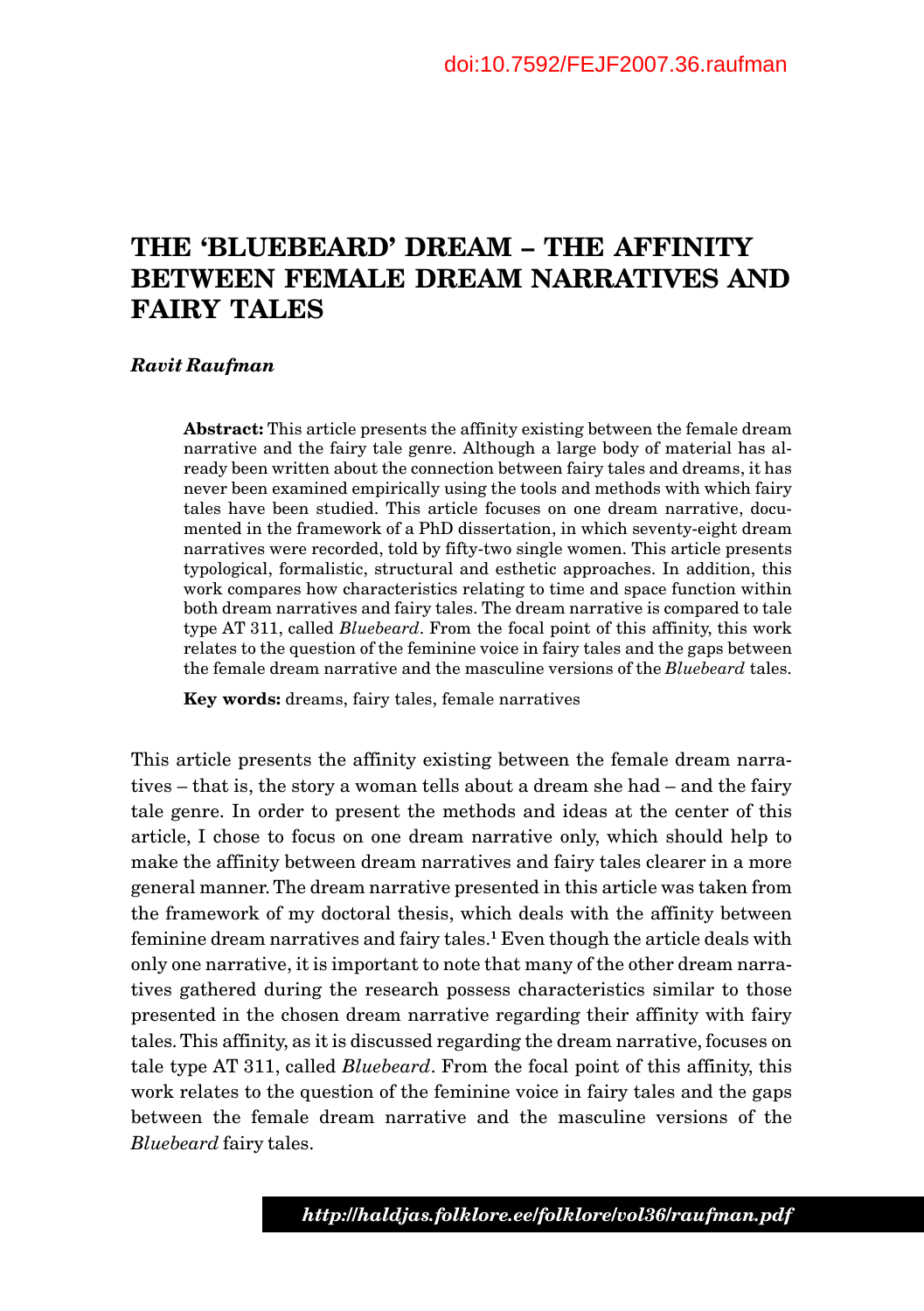# **THE 'BLUEBEARD' DREAM – THE AFFINITY BETWEEN FEMALE DREAM NARRATIVES AND FAIRY TALES**

#### *Ravit Raufman*

**Abstract:** This article presents the affinity existing between the female dream narrative and the fairy tale genre. Although a large body of material has already been written about the connection between fairy tales and dreams, it has never been examined empirically using the tools and methods with which fairy tales have been studied. This article focuses on one dream narrative, documented in the framework of a PhD dissertation, in which seventy-eight dream narratives were recorded, told by fifty-two single women. This article presents typological, formalistic, structural and esthetic approaches. In addition, this work compares how characteristics relating to time and space function within both dream narratives and fairy tales. The dream narrative is compared to tale type AT 311, called *Bluebeard*. From the focal point of this affinity, this work relates to the question of the feminine voice in fairy tales and the gaps between the female dream narrative and the masculine versions of the *Bluebeard* tales.

**Key words:** dreams, fairy tales, female narratives

This article presents the affinity existing between the female dream narratives – that is, the story a woman tells about a dream she had – and the fairy tale genre. In order to present the methods and ideas at the center of this article, I chose to focus on one dream narrative only, which should help to make the affinity between dream narratives and fairy tales clearer in a more general manner. The dream narrative presented in this article was taken from the framework of my doctoral thesis, which deals with the affinity between feminine dream narratives and fairy tales.**1** Even though the article deals with only one narrative, it is important to note that many of the other dream narratives gathered during the research possess characteristics similar to those presented in the chosen dream narrative regarding their affinity with fairy tales. This affinity, as it is discussed regarding the dream narrative, focuses on tale type AT 311, called *Bluebeard*. From the focal point of this affinity, this work relates to the question of the feminine voice in fairy tales and the gaps between the female dream narrative and the masculine versions of the *Bluebeard* fairy tales.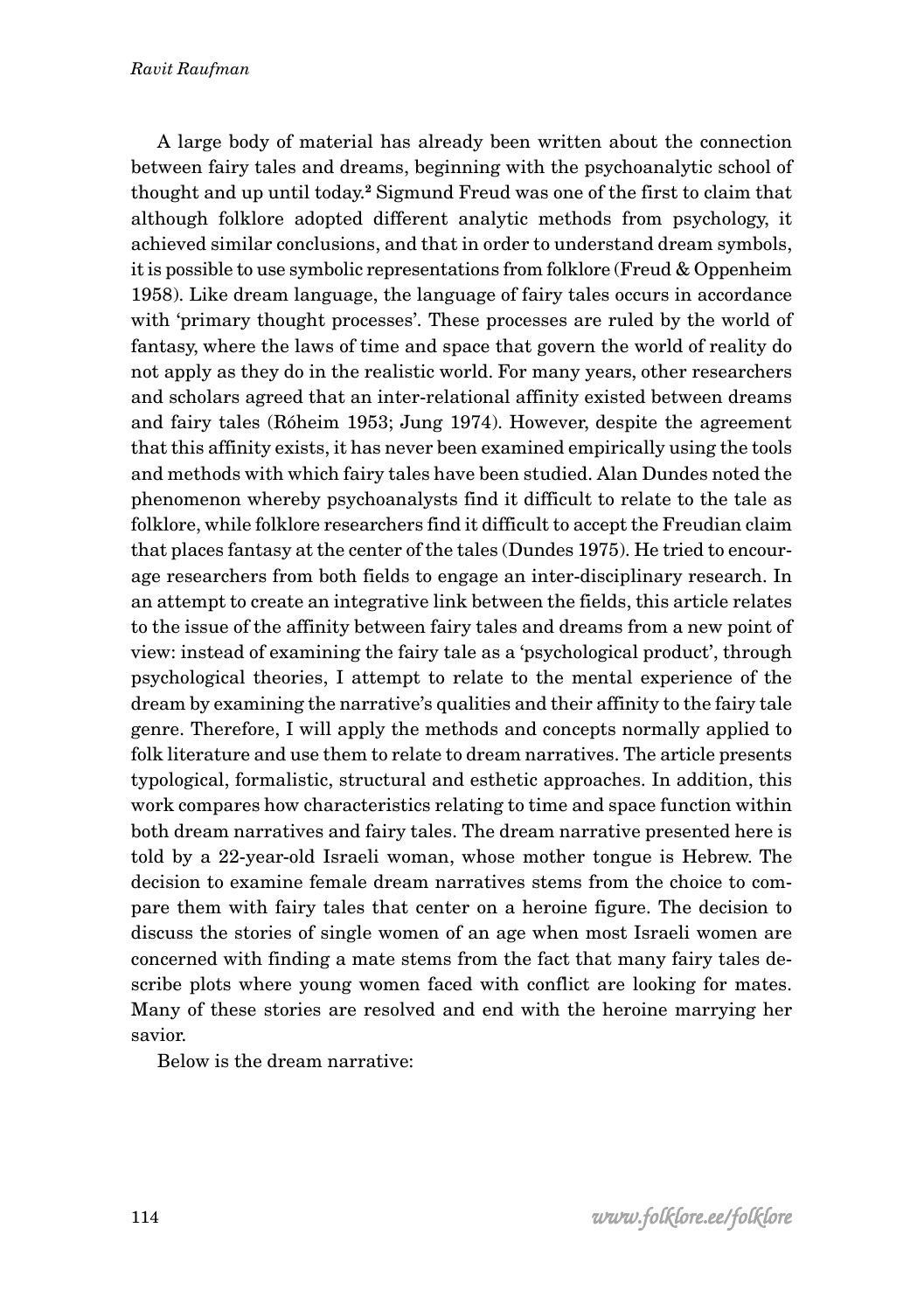A large body of material has already been written about the connection between fairy tales and dreams, beginning with the psychoanalytic school of thought and up until today.**2** Sigmund Freud was one of the first to claim that although folklore adopted different analytic methods from psychology, it achieved similar conclusions, and that in order to understand dream symbols, it is possible to use symbolic representations from folklore (Freud & Oppenheim 1958). Like dream language, the language of fairy tales occurs in accordance with 'primary thought processes'. These processes are ruled by the world of fantasy, where the laws of time and space that govern the world of reality do not apply as they do in the realistic world. For many years, other researchers and scholars agreed that an inter-relational affinity existed between dreams and fairy tales (Róheim 1953; Jung 1974). However, despite the agreement that this affinity exists, it has never been examined empirically using the tools and methods with which fairy tales have been studied. Alan Dundes noted the phenomenon whereby psychoanalysts find it difficult to relate to the tale as folklore, while folklore researchers find it difficult to accept the Freudian claim that places fantasy at the center of the tales (Dundes 1975). He tried to encourage researchers from both fields to engage an inter-disciplinary research. In an attempt to create an integrative link between the fields, this article relates to the issue of the affinity between fairy tales and dreams from a new point of view: instead of examining the fairy tale as a 'psychological product', through psychological theories, I attempt to relate to the mental experience of the dream by examining the narrative's qualities and their affinity to the fairy tale genre. Therefore, I will apply the methods and concepts normally applied to folk literature and use them to relate to dream narratives. The article presents typological, formalistic, structural and esthetic approaches. In addition, this work compares how characteristics relating to time and space function within both dream narratives and fairy tales. The dream narrative presented here is told by a 22-year-old Israeli woman, whose mother tongue is Hebrew. The decision to examine female dream narratives stems from the choice to compare them with fairy tales that center on a heroine figure. The decision to discuss the stories of single women of an age when most Israeli women are concerned with finding a mate stems from the fact that many fairy tales describe plots where young women faced with conflict are looking for mates. Many of these stories are resolved and end with the heroine marrying her savior.

Below is the dream narrative: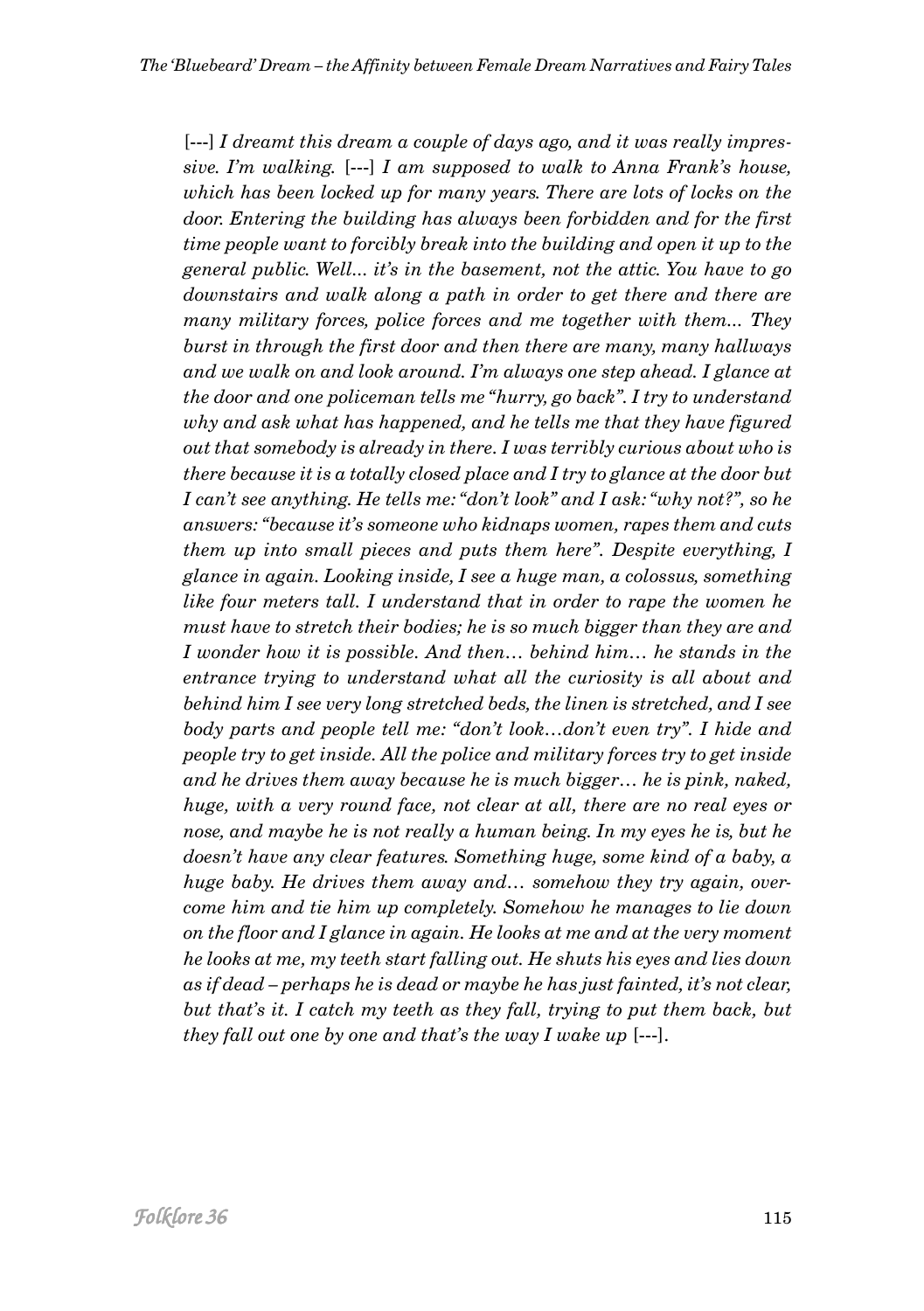[---] *I dreamt this dream a couple of days ago, and it was really impressive. I'm walking.* [---] *I am supposed to walk to Anna Frank's house, which has been locked up for many years. There are lots of locks on the door. Entering the building has always been forbidden and for the first time people want to forcibly break into the building and open it up to the general public. Well... it's in the basement, not the attic. You have to go downstairs and walk along a path in order to get there and there are many military forces, police forces and me together with them... They burst in through the first door and then there are many, many hallways and we walk on and look around. I'm always one step ahead. I glance at the door and one policeman tells me "hurry, go back". I try to understand why and ask what has happened, and he tells me that they have figured out that somebody is already in there. I was terribly curious about who is there because it is a totally closed place and I try to glance at the door but I can't see anything. He tells me: "don't look" and I ask: "why not?", so he answers: "because it's someone who kidnaps women, rapes them and cuts them up into small pieces and puts them here". Despite everything, I glance in again. Looking inside, I see a huge man, a colossus, something like four meters tall. I understand that in order to rape the women he must have to stretch their bodies; he is so much bigger than they are and I wonder how it is possible. And then… behind him… he stands in the entrance trying to understand what all the curiosity is all about and behind him I see very long stretched beds, the linen is stretched, and I see body parts and people tell me: "don't look…don't even try". I hide and people try to get inside. All the police and military forces try to get inside and he drives them away because he is much bigger… he is pink, naked, huge, with a very round face, not clear at all, there are no real eyes or nose, and maybe he is not really a human being. In my eyes he is, but he doesn't have any clear features. Something huge, some kind of a baby, a huge baby. He drives them away and… somehow they try again, overcome him and tie him up completely. Somehow he manages to lie down on the floor and I glance in again. He looks at me and at the very moment he looks at me, my teeth start falling out. He shuts his eyes and lies down as if dead – perhaps he is dead or maybe he has just fainted, it's not clear, but that's it. I catch my teeth as they fall, trying to put them back, but they fall out one by one and that's the way I wake up* [---].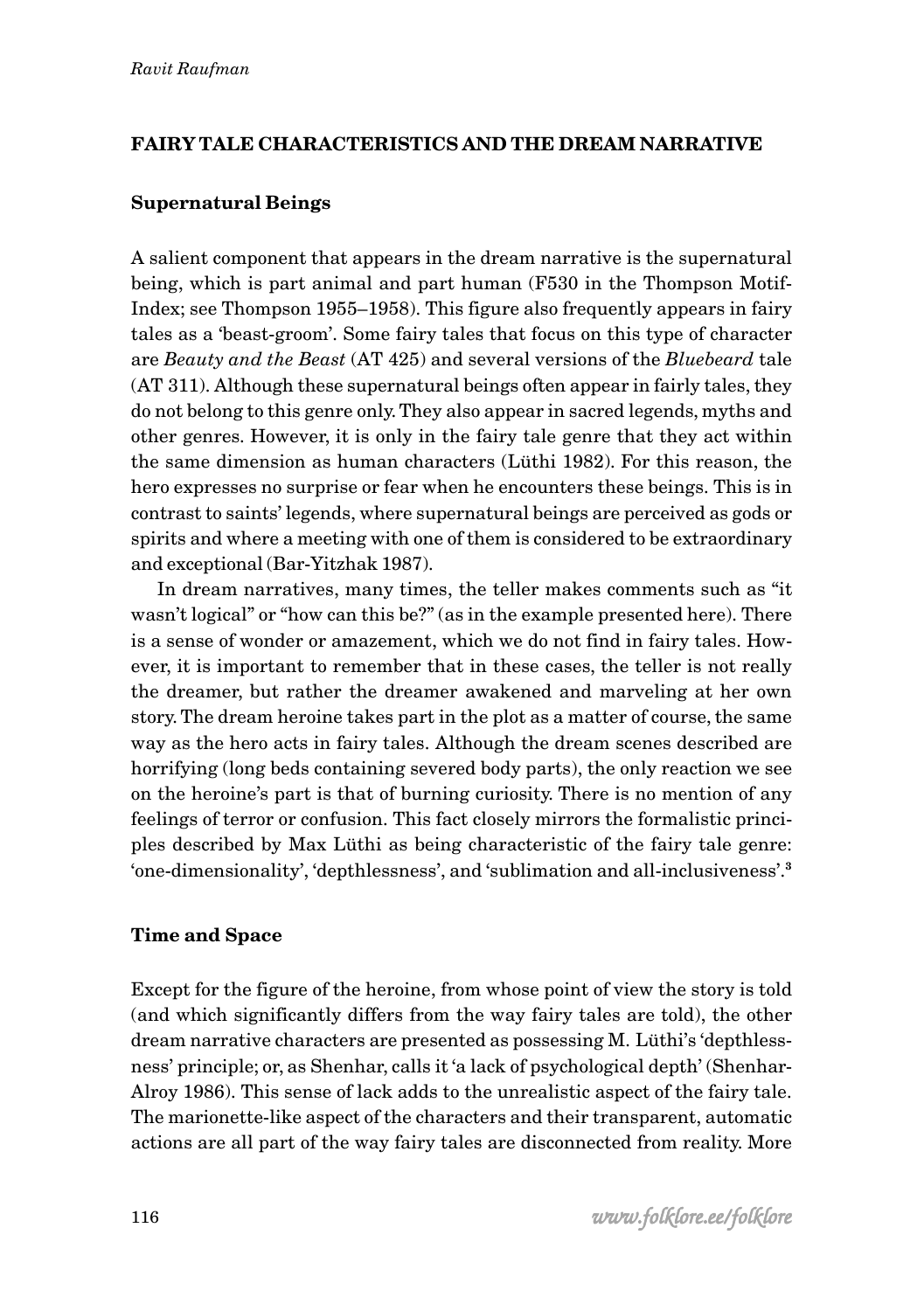## **FAIRY TALE CHARACTERISTICS AND THE DREAM NARRATIVE**

### **Supernatural Beings**

A salient component that appears in the dream narrative is the supernatural being, which is part animal and part human (F530 in the Thompson Motif-Index; see Thompson 1955–1958). This figure also frequently appears in fairy tales as a 'beast-groom'. Some fairy tales that focus on this type of character are *Beauty and the Beast* (AT 425) and several versions of the *Bluebeard* tale (AT 311). Although these supernatural beings often appear in fairly tales, they do not belong to this genre only. They also appear in sacred legends, myths and other genres. However, it is only in the fairy tale genre that they act within the same dimension as human characters (Lüthi 1982). For this reason, the hero expresses no surprise or fear when he encounters these beings. This is in contrast to saints' legends, where supernatural beings are perceived as gods or spirits and where a meeting with one of them is considered to be extraordinary and exceptional (Bar-Yitzhak 1987).

In dream narratives, many times, the teller makes comments such as "it wasn't logical" or "how can this be?" (as in the example presented here). There is a sense of wonder or amazement, which we do not find in fairy tales. However, it is important to remember that in these cases, the teller is not really the dreamer, but rather the dreamer awakened and marveling at her own story. The dream heroine takes part in the plot as a matter of course, the same way as the hero acts in fairy tales. Although the dream scenes described are horrifying (long beds containing severed body parts), the only reaction we see on the heroine's part is that of burning curiosity. There is no mention of any feelings of terror or confusion. This fact closely mirrors the formalistic principles described by Max Lüthi as being characteristic of the fairy tale genre: 'one-dimensionality', 'depthlessness', and 'sublimation and all-inclusiveness'.**<sup>3</sup>**

### **Time and Space**

Except for the figure of the heroine, from whose point of view the story is told (and which significantly differs from the way fairy tales are told), the other dream narrative characters are presented as possessing M. Lüthi's 'depthlessness' principle; or, as Shenhar, calls it 'a lack of psychological depth' (Shenhar-Alroy 1986). This sense of lack adds to the unrealistic aspect of the fairy tale. The marionette-like aspect of the characters and their transparent, automatic actions are all part of the way fairy tales are disconnected from reality. More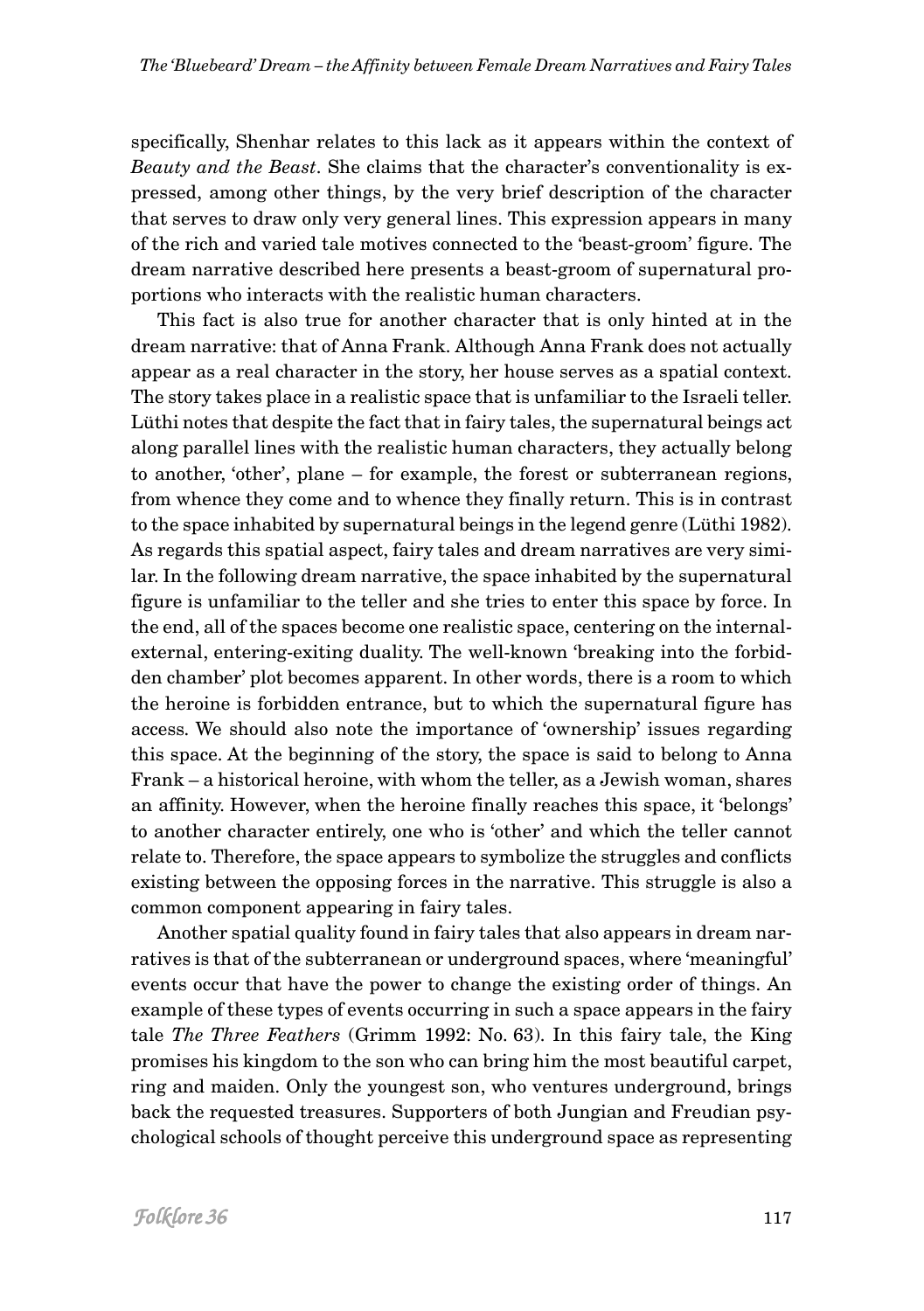specifically, Shenhar relates to this lack as it appears within the context of *Beauty and the Beast*. She claims that the character's conventionality is expressed, among other things, by the very brief description of the character that serves to draw only very general lines. This expression appears in many of the rich and varied tale motives connected to the 'beast-groom' figure. The dream narrative described here presents a beast-groom of supernatural proportions who interacts with the realistic human characters.

This fact is also true for another character that is only hinted at in the dream narrative: that of Anna Frank. Although Anna Frank does not actually appear as a real character in the story, her house serves as a spatial context. The story takes place in a realistic space that is unfamiliar to the Israeli teller. Lüthi notes that despite the fact that in fairy tales, the supernatural beings act along parallel lines with the realistic human characters, they actually belong to another, 'other', plane – for example, the forest or subterranean regions, from whence they come and to whence they finally return. This is in contrast to the space inhabited by supernatural beings in the legend genre (Lüthi 1982). As regards this spatial aspect, fairy tales and dream narratives are very similar. In the following dream narrative, the space inhabited by the supernatural figure is unfamiliar to the teller and she tries to enter this space by force. In the end, all of the spaces become one realistic space, centering on the internalexternal, entering-exiting duality. The well-known 'breaking into the forbidden chamber' plot becomes apparent. In other words, there is a room to which the heroine is forbidden entrance, but to which the supernatural figure has access. We should also note the importance of 'ownership' issues regarding this space. At the beginning of the story, the space is said to belong to Anna Frank – a historical heroine, with whom the teller, as a Jewish woman, shares an affinity. However, when the heroine finally reaches this space, it 'belongs' to another character entirely, one who is 'other' and which the teller cannot relate to. Therefore, the space appears to symbolize the struggles and conflicts existing between the opposing forces in the narrative. This struggle is also a common component appearing in fairy tales.

Another spatial quality found in fairy tales that also appears in dream narratives is that of the subterranean or underground spaces, where 'meaningful' events occur that have the power to change the existing order of things. An example of these types of events occurring in such a space appears in the fairy tale *The Three Feathers* (Grimm 1992: No. 63). In this fairy tale, the King promises his kingdom to the son who can bring him the most beautiful carpet, ring and maiden. Only the youngest son, who ventures underground, brings back the requested treasures. Supporters of both Jungian and Freudian psychological schools of thought perceive this underground space as representing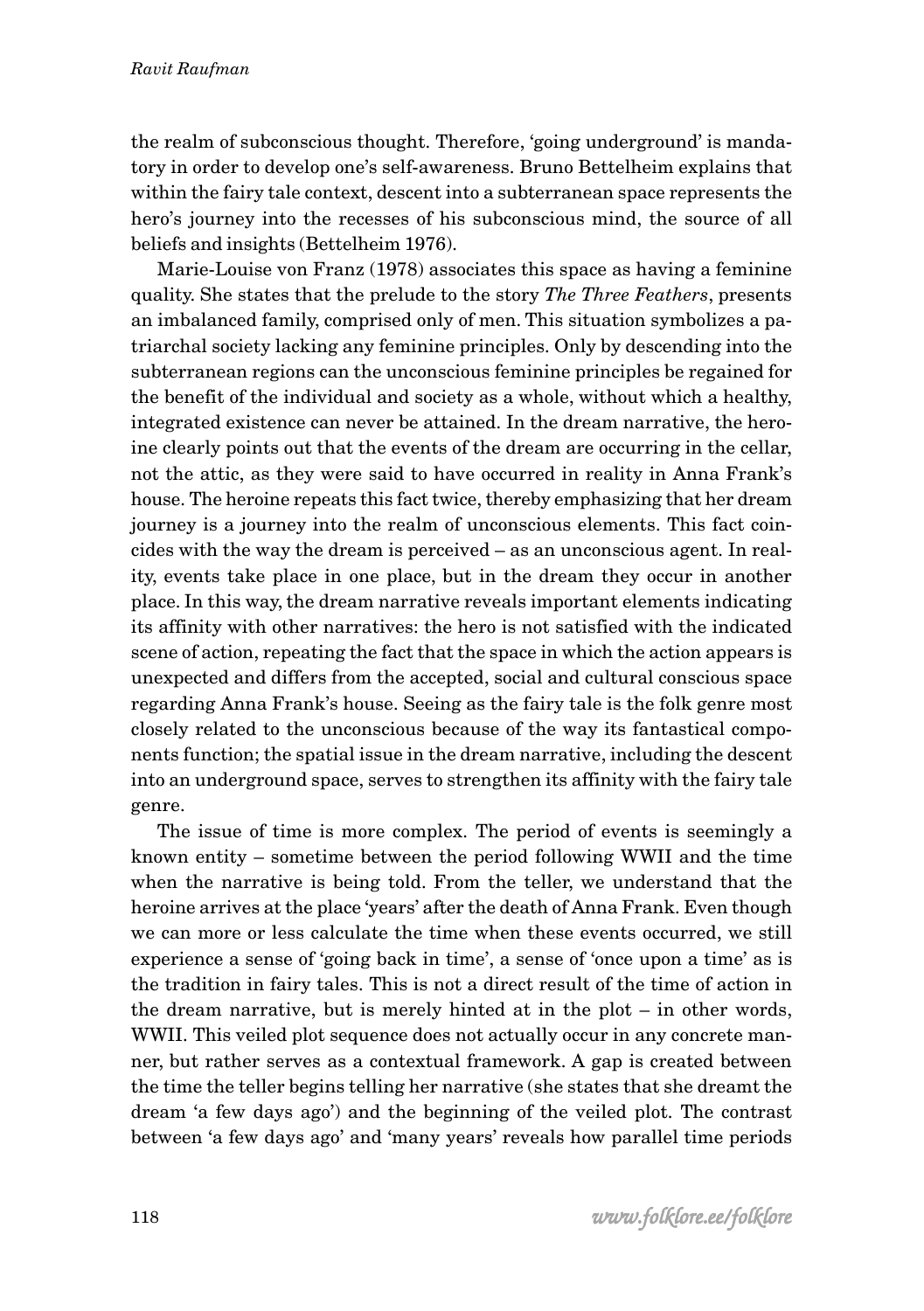the realm of subconscious thought. Therefore, 'going underground' is mandatory in order to develop one's self-awareness. Bruno Bettelheim explains that within the fairy tale context, descent into a subterranean space represents the hero's journey into the recesses of his subconscious mind, the source of all beliefs and insights (Bettelheim 1976).

Marie-Louise von Franz (1978) associates this space as having a feminine quality. She states that the prelude to the story *The Three Feathers*, presents an imbalanced family, comprised only of men. This situation symbolizes a patriarchal society lacking any feminine principles. Only by descending into the subterranean regions can the unconscious feminine principles be regained for the benefit of the individual and society as a whole, without which a healthy, integrated existence can never be attained. In the dream narrative, the heroine clearly points out that the events of the dream are occurring in the cellar, not the attic, as they were said to have occurred in reality in Anna Frank's house. The heroine repeats this fact twice, thereby emphasizing that her dream journey is a journey into the realm of unconscious elements. This fact coincides with the way the dream is perceived – as an unconscious agent. In reality, events take place in one place, but in the dream they occur in another place. In this way, the dream narrative reveals important elements indicating its affinity with other narratives: the hero is not satisfied with the indicated scene of action, repeating the fact that the space in which the action appears is unexpected and differs from the accepted, social and cultural conscious space regarding Anna Frank's house. Seeing as the fairy tale is the folk genre most closely related to the unconscious because of the way its fantastical components function; the spatial issue in the dream narrative, including the descent into an underground space, serves to strengthen its affinity with the fairy tale genre.

The issue of time is more complex. The period of events is seemingly a known entity – sometime between the period following WWII and the time when the narrative is being told. From the teller, we understand that the heroine arrives at the place 'years' after the death of Anna Frank. Even though we can more or less calculate the time when these events occurred, we still experience a sense of 'going back in time', a sense of 'once upon a time' as is the tradition in fairy tales. This is not a direct result of the time of action in the dream narrative, but is merely hinted at in the plot – in other words, WWII. This veiled plot sequence does not actually occur in any concrete manner, but rather serves as a contextual framework. A gap is created between the time the teller begins telling her narrative (she states that she dreamt the dream 'a few days ago') and the beginning of the veiled plot. The contrast between 'a few days ago' and 'many years' reveals how parallel time periods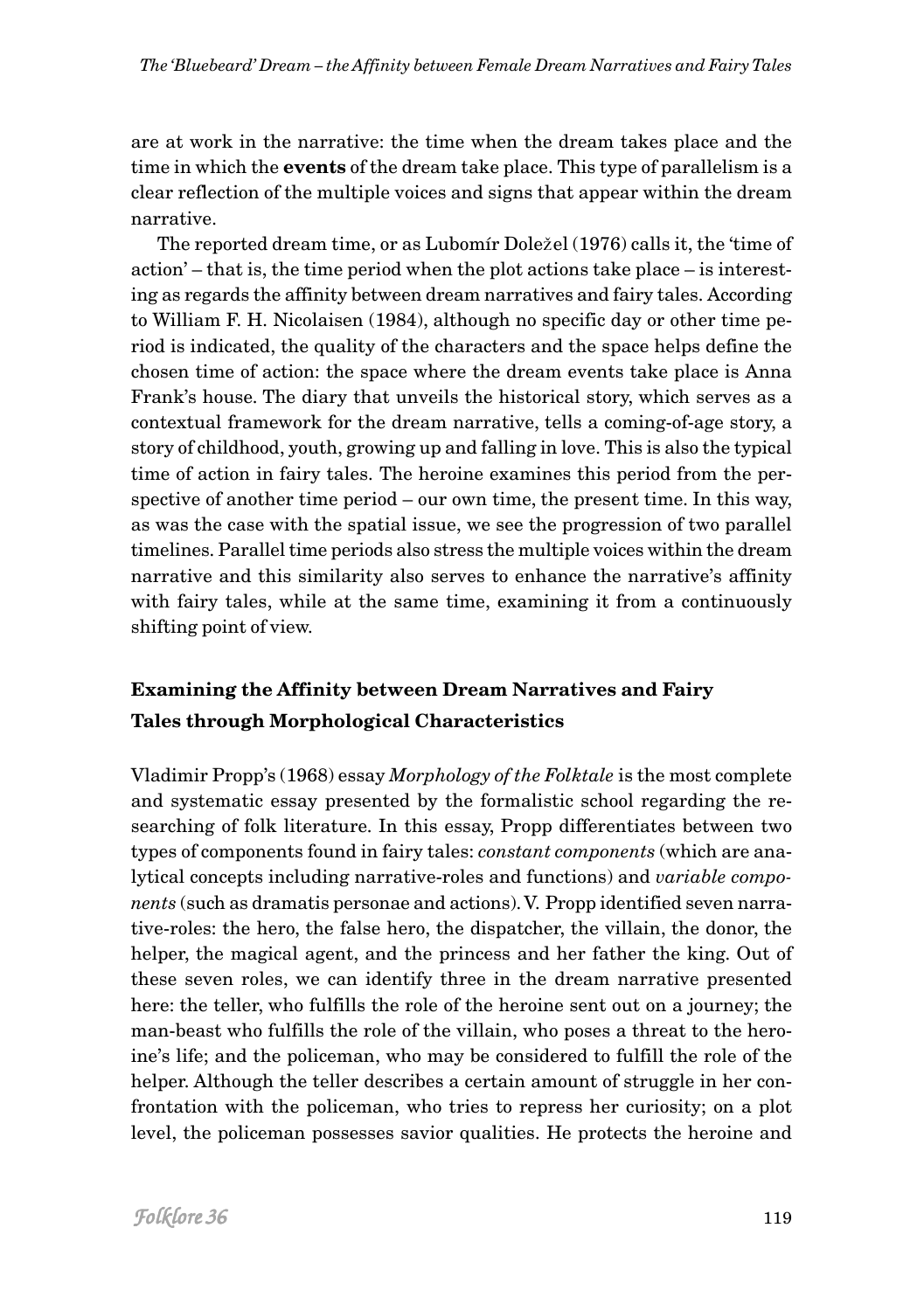are at work in the narrative: the time when the dream takes place and the time in which the **events** of the dream take place. This type of parallelism is a clear reflection of the multiple voices and signs that appear within the dream narrative.

The reported dream time, or as Lubomír Dole*ž*el (1976) calls it, the 'time of action' – that is, the time period when the plot actions take place – is interesting as regards the affinity between dream narratives and fairy tales. According to William F. H. Nicolaisen (1984), although no specific day or other time period is indicated, the quality of the characters and the space helps define the chosen time of action: the space where the dream events take place is Anna Frank's house. The diary that unveils the historical story, which serves as a contextual framework for the dream narrative, tells a coming-of-age story, a story of childhood, youth, growing up and falling in love. This is also the typical time of action in fairy tales. The heroine examines this period from the perspective of another time period – our own time, the present time. In this way, as was the case with the spatial issue, we see the progression of two parallel timelines. Parallel time periods also stress the multiple voices within the dream narrative and this similarity also serves to enhance the narrative's affinity with fairy tales, while at the same time, examining it from a continuously shifting point of view.

# **Examining the Affinity between Dream Narratives and Fairy Tales through Morphological Characteristics**

Vladimir Propp's (1968) essay *Morphology of the Folktale* is the most complete and systematic essay presented by the formalistic school regarding the researching of folk literature. In this essay, Propp differentiates between two types of components found in fairy tales: *constant components* (which are analytical concepts including narrative-roles and functions) and *variable components* (such as dramatis personae and actions). V. Propp identified seven narrative-roles: the hero, the false hero, the dispatcher, the villain, the donor, the helper, the magical agent, and the princess and her father the king. Out of these seven roles, we can identify three in the dream narrative presented here: the teller, who fulfills the role of the heroine sent out on a journey; the man-beast who fulfills the role of the villain, who poses a threat to the heroine's life; and the policeman, who may be considered to fulfill the role of the helper. Although the teller describes a certain amount of struggle in her confrontation with the policeman, who tries to repress her curiosity; on a plot level, the policeman possesses savior qualities. He protects the heroine and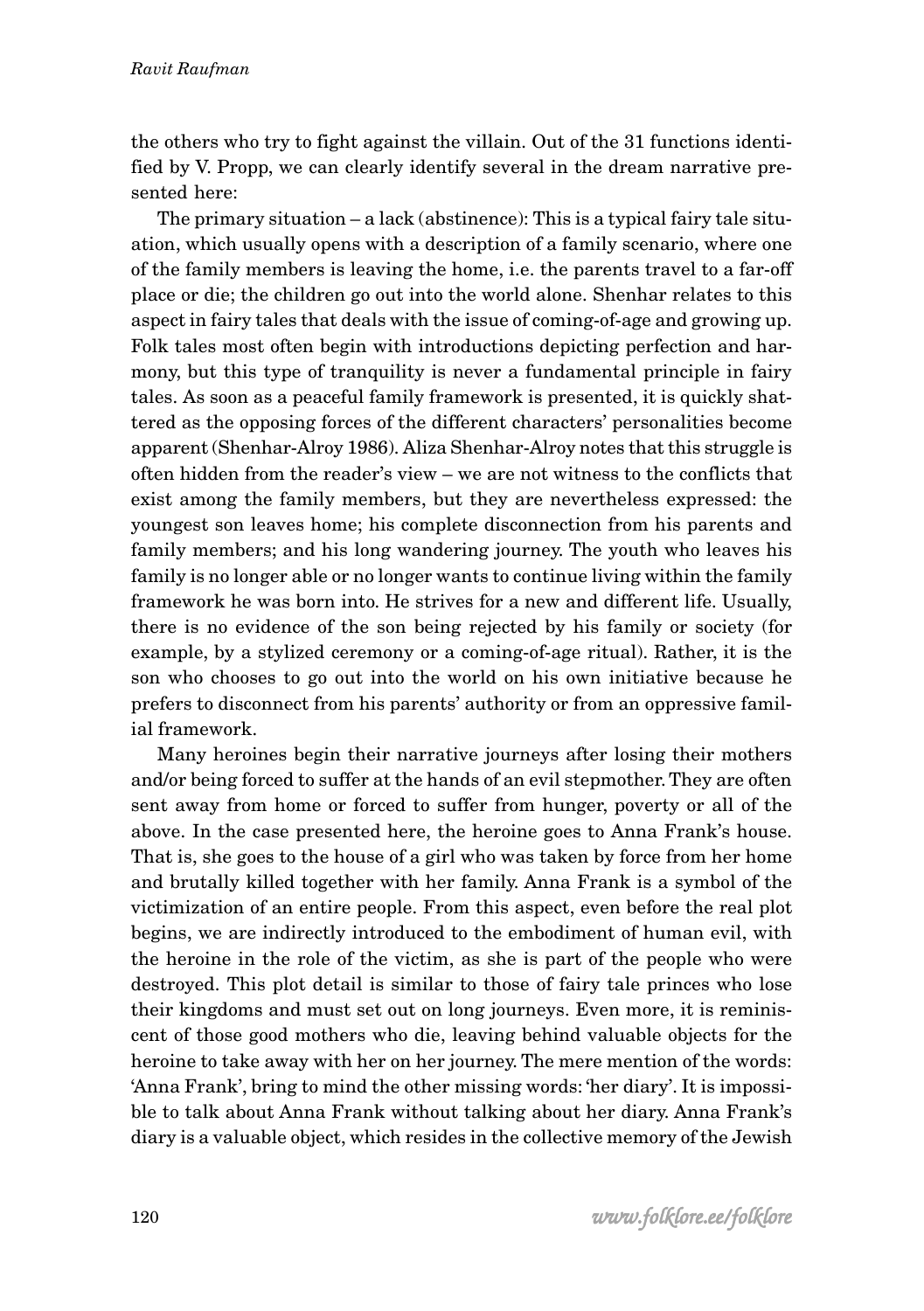the others who try to fight against the villain. Out of the 31 functions identified by V. Propp, we can clearly identify several in the dream narrative presented here:

The primary situation – a lack (abstinence): This is a typical fairy tale situation, which usually opens with a description of a family scenario, where one of the family members is leaving the home, i.e. the parents travel to a far-off place or die; the children go out into the world alone. Shenhar relates to this aspect in fairy tales that deals with the issue of coming-of-age and growing up. Folk tales most often begin with introductions depicting perfection and harmony, but this type of tranquility is never a fundamental principle in fairy tales. As soon as a peaceful family framework is presented, it is quickly shattered as the opposing forces of the different characters' personalities become apparent (Shenhar-Alroy 1986). Aliza Shenhar-Alroy notes that this struggle is often hidden from the reader's view – we are not witness to the conflicts that exist among the family members, but they are nevertheless expressed: the youngest son leaves home; his complete disconnection from his parents and family members; and his long wandering journey. The youth who leaves his family is no longer able or no longer wants to continue living within the family framework he was born into. He strives for a new and different life. Usually, there is no evidence of the son being rejected by his family or society (for example, by a stylized ceremony or a coming-of-age ritual). Rather, it is the son who chooses to go out into the world on his own initiative because he prefers to disconnect from his parents' authority or from an oppressive familial framework.

Many heroines begin their narrative journeys after losing their mothers and/or being forced to suffer at the hands of an evil stepmother. They are often sent away from home or forced to suffer from hunger, poverty or all of the above. In the case presented here, the heroine goes to Anna Frank's house. That is, she goes to the house of a girl who was taken by force from her home and brutally killed together with her family. Anna Frank is a symbol of the victimization of an entire people. From this aspect, even before the real plot begins, we are indirectly introduced to the embodiment of human evil, with the heroine in the role of the victim, as she is part of the people who were destroyed. This plot detail is similar to those of fairy tale princes who lose their kingdoms and must set out on long journeys. Even more, it is reminiscent of those good mothers who die, leaving behind valuable objects for the heroine to take away with her on her journey. The mere mention of the words: 'Anna Frank', bring to mind the other missing words: 'her diary'. It is impossible to talk about Anna Frank without talking about her diary. Anna Frank's diary is a valuable object, which resides in the collective memory of the Jewish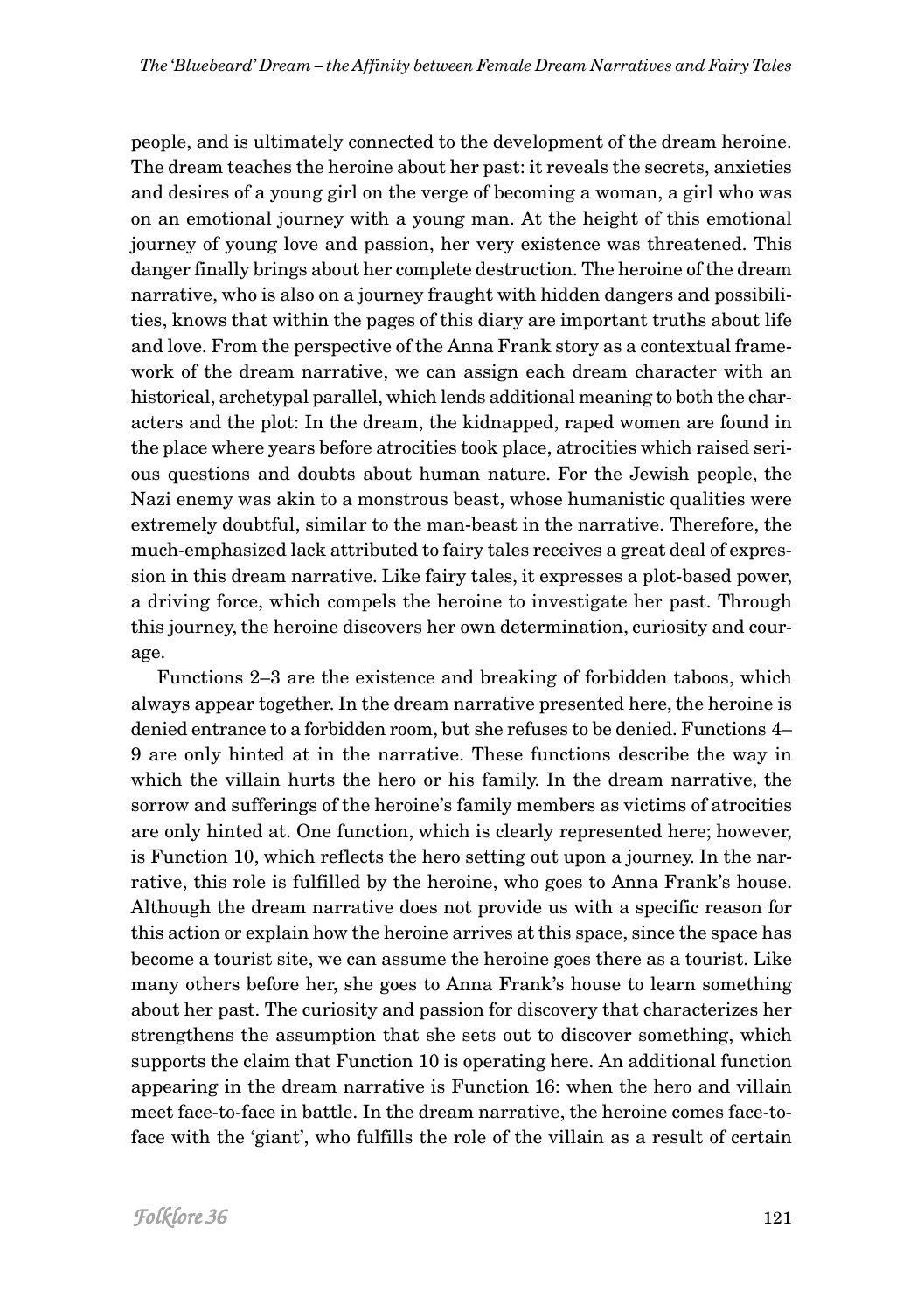people, and is ultimately connected to the development of the dream heroine. The dream teaches the heroine about her past: it reveals the secrets, anxieties and desires of a young girl on the verge of becoming a woman, a girl who was on an emotional journey with a young man. At the height of this emotional journey of young love and passion, her very existence was threatened. This danger finally brings about her complete destruction. The heroine of the dream narrative, who is also on a journey fraught with hidden dangers and possibilities, knows that within the pages of this diary are important truths about life and love. From the perspective of the Anna Frank story as a contextual framework of the dream narrative, we can assign each dream character with an historical, archetypal parallel, which lends additional meaning to both the characters and the plot: In the dream, the kidnapped, raped women are found in the place where years before atrocities took place, atrocities which raised serious questions and doubts about human nature. For the Jewish people, the Nazi enemy was akin to a monstrous beast, whose humanistic qualities were extremely doubtful, similar to the man-beast in the narrative. Therefore, the much-emphasized lack attributed to fairy tales receives a great deal of expression in this dream narrative. Like fairy tales, it expresses a plot-based power, a driving force, which compels the heroine to investigate her past. Through this journey, the heroine discovers her own determination, curiosity and courage.

Functions 2–3 are the existence and breaking of forbidden taboos, which always appear together. In the dream narrative presented here, the heroine is denied entrance to a forbidden room, but she refuses to be denied. Functions 4– 9 are only hinted at in the narrative. These functions describe the way in which the villain hurts the hero or his family. In the dream narrative, the sorrow and sufferings of the heroine's family members as victims of atrocities are only hinted at. One function, which is clearly represented here; however, is Function 10, which reflects the hero setting out upon a journey. In the narrative, this role is fulfilled by the heroine, who goes to Anna Frank's house. Although the dream narrative does not provide us with a specific reason for this action or explain how the heroine arrives at this space, since the space has become a tourist site, we can assume the heroine goes there as a tourist. Like many others before her, she goes to Anna Frank's house to learn something about her past. The curiosity and passion for discovery that characterizes her strengthens the assumption that she sets out to discover something, which supports the claim that Function 10 is operating here. An additional function appearing in the dream narrative is Function 16: when the hero and villain meet face-to-face in battle. In the dream narrative, the heroine comes face-toface with the 'giant', who fulfills the role of the villain as a result of certain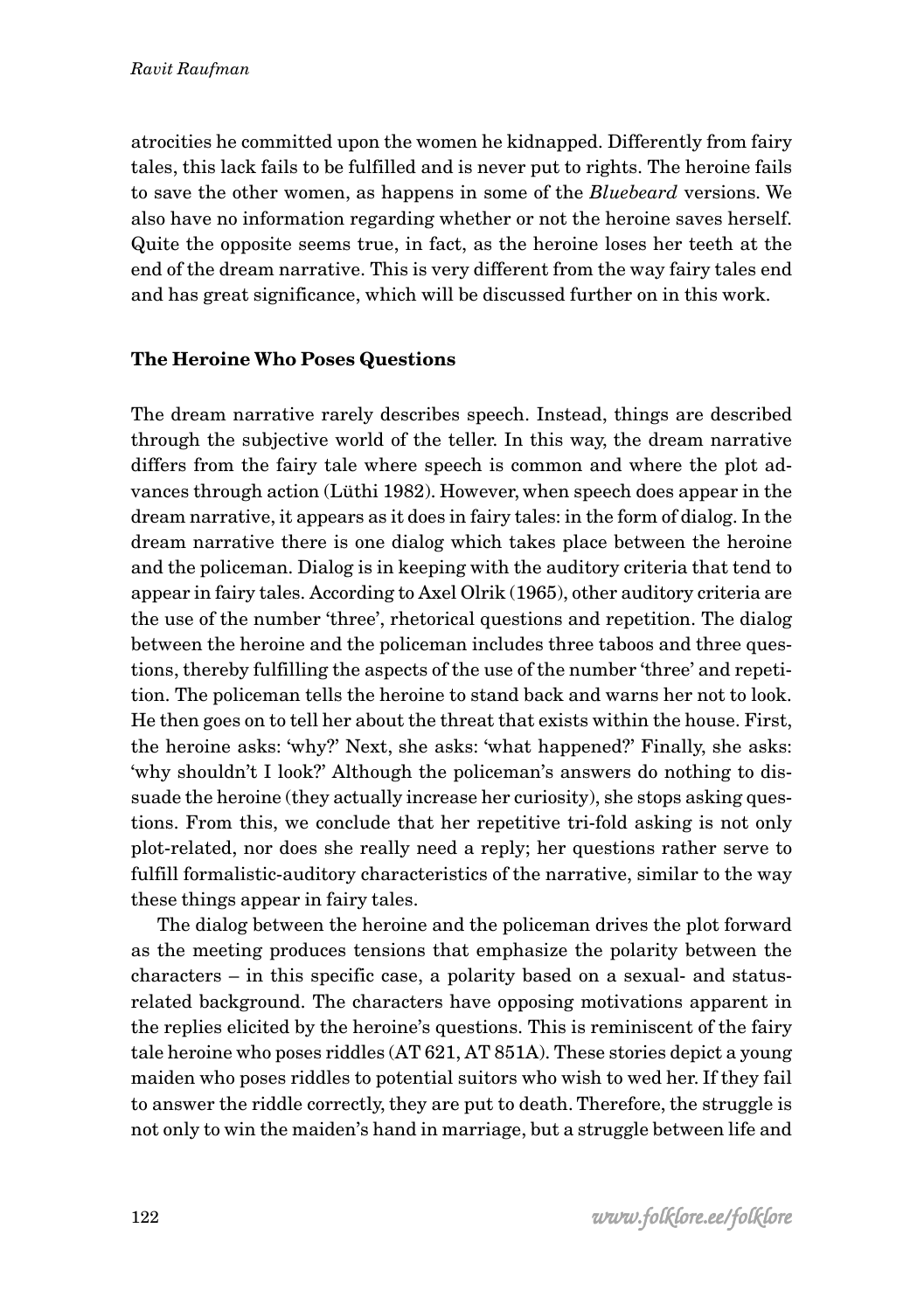atrocities he committed upon the women he kidnapped. Differently from fairy tales, this lack fails to be fulfilled and is never put to rights. The heroine fails to save the other women, as happens in some of the *Bluebeard* versions. We also have no information regarding whether or not the heroine saves herself. Quite the opposite seems true, in fact, as the heroine loses her teeth at the end of the dream narrative. This is very different from the way fairy tales end and has great significance, which will be discussed further on in this work.

### **The Heroine Who Poses Questions**

The dream narrative rarely describes speech. Instead, things are described through the subjective world of the teller. In this way, the dream narrative differs from the fairy tale where speech is common and where the plot advances through action (Lüthi 1982). However, when speech does appear in the dream narrative, it appears as it does in fairy tales: in the form of dialog. In the dream narrative there is one dialog which takes place between the heroine and the policeman. Dialog is in keeping with the auditory criteria that tend to appear in fairy tales. According to Axel Olrik (1965), other auditory criteria are the use of the number 'three', rhetorical questions and repetition. The dialog between the heroine and the policeman includes three taboos and three questions, thereby fulfilling the aspects of the use of the number 'three' and repetition. The policeman tells the heroine to stand back and warns her not to look. He then goes on to tell her about the threat that exists within the house. First, the heroine asks: 'why?' Next, she asks: 'what happened?' Finally, she asks: 'why shouldn't I look?' Although the policeman's answers do nothing to dissuade the heroine (they actually increase her curiosity), she stops asking questions. From this, we conclude that her repetitive tri-fold asking is not only plot-related, nor does she really need a reply; her questions rather serve to fulfill formalistic-auditory characteristics of the narrative, similar to the way these things appear in fairy tales.

The dialog between the heroine and the policeman drives the plot forward as the meeting produces tensions that emphasize the polarity between the characters – in this specific case, a polarity based on a sexual- and statusrelated background. The characters have opposing motivations apparent in the replies elicited by the heroine's questions. This is reminiscent of the fairy tale heroine who poses riddles (AT 621, AT 851A). These stories depict a young maiden who poses riddles to potential suitors who wish to wed her. If they fail to answer the riddle correctly, they are put to death. Therefore, the struggle is not only to win the maiden's hand in marriage, but a struggle between life and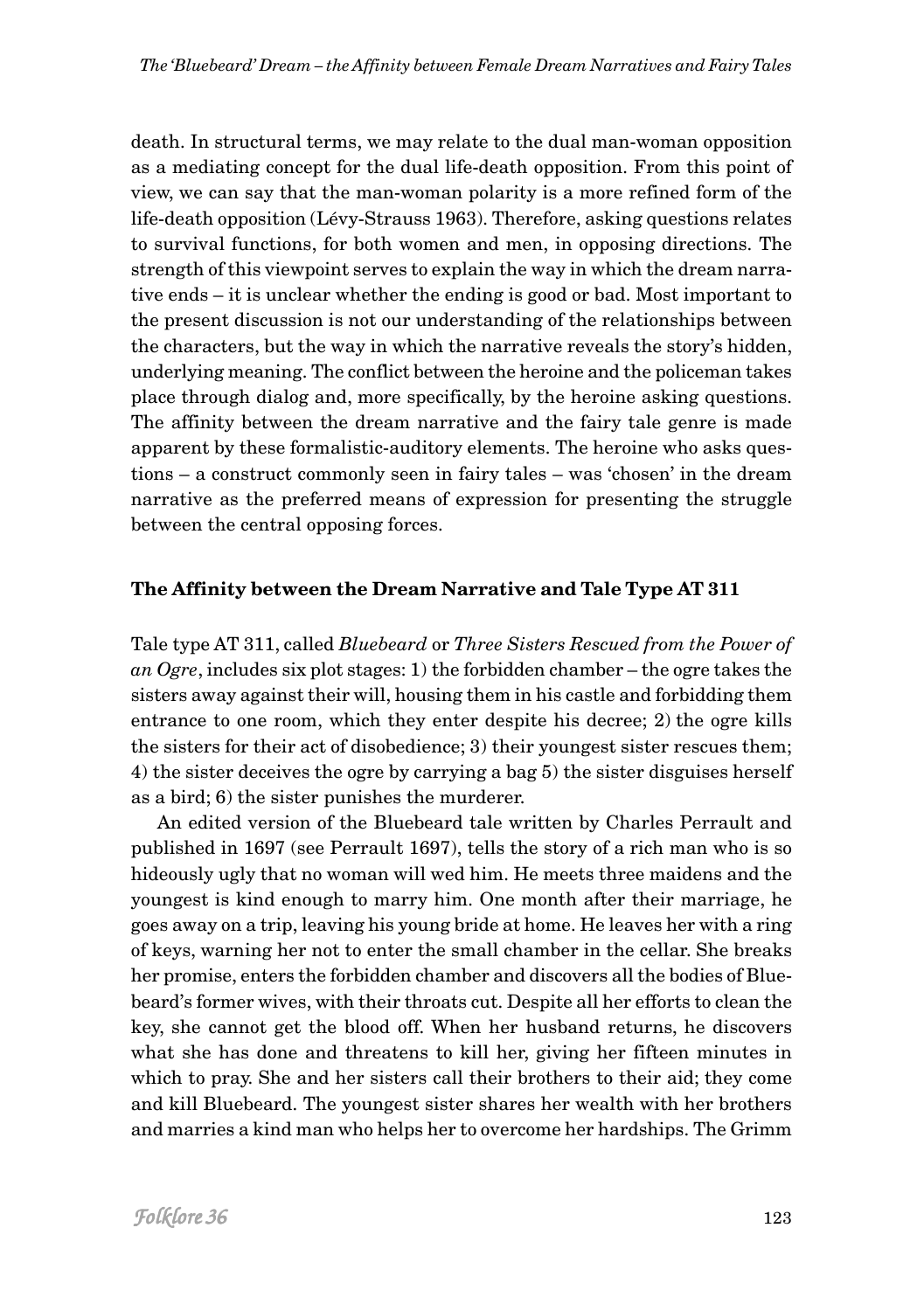death. In structural terms, we may relate to the dual man-woman opposition as a mediating concept for the dual life-death opposition. From this point of view, we can say that the man-woman polarity is a more refined form of the life-death opposition (Lévy-Strauss 1963). Therefore, asking questions relates to survival functions, for both women and men, in opposing directions. The strength of this viewpoint serves to explain the way in which the dream narrative ends – it is unclear whether the ending is good or bad. Most important to the present discussion is not our understanding of the relationships between the characters, but the way in which the narrative reveals the story's hidden, underlying meaning. The conflict between the heroine and the policeman takes place through dialog and, more specifically, by the heroine asking questions. The affinity between the dream narrative and the fairy tale genre is made apparent by these formalistic-auditory elements. The heroine who asks questions – a construct commonly seen in fairy tales – was 'chosen' in the dream narrative as the preferred means of expression for presenting the struggle between the central opposing forces.

### **The Affinity between the Dream Narrative and Tale Type AT 311**

Tale type AT 311, called *Bluebeard* or *Three Sisters Rescued from the Power of an Ogre*, includes six plot stages: 1) the forbidden chamber – the ogre takes the sisters away against their will, housing them in his castle and forbidding them entrance to one room, which they enter despite his decree; 2) the ogre kills the sisters for their act of disobedience; 3) their youngest sister rescues them; 4) the sister deceives the ogre by carrying a bag 5) the sister disguises herself as a bird; 6) the sister punishes the murderer.

An edited version of the Bluebeard tale written by Charles Perrault and published in 1697 (see Perrault 1697), tells the story of a rich man who is so hideously ugly that no woman will wed him. He meets three maidens and the youngest is kind enough to marry him. One month after their marriage, he goes away on a trip, leaving his young bride at home. He leaves her with a ring of keys, warning her not to enter the small chamber in the cellar. She breaks her promise, enters the forbidden chamber and discovers all the bodies of Bluebeard's former wives, with their throats cut. Despite all her efforts to clean the key, she cannot get the blood off. When her husband returns, he discovers what she has done and threatens to kill her, giving her fifteen minutes in which to pray. She and her sisters call their brothers to their aid; they come and kill Bluebeard. The youngest sister shares her wealth with her brothers and marries a kind man who helps her to overcome her hardships. The Grimm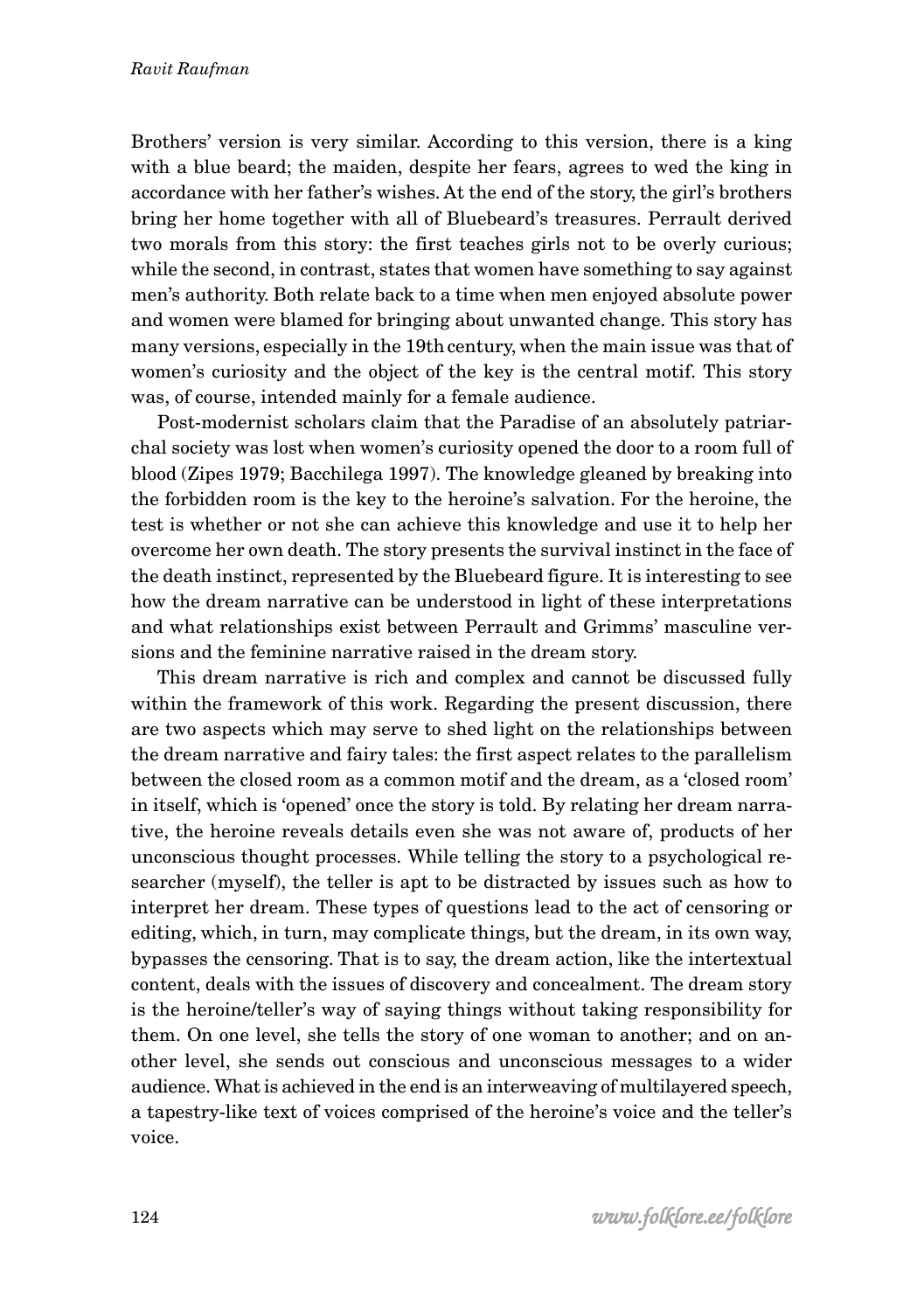Brothers' version is very similar. According to this version, there is a king with a blue beard; the maiden, despite her fears, agrees to wed the king in accordance with her father's wishes. At the end of the story, the girl's brothers bring her home together with all of Bluebeard's treasures. Perrault derived two morals from this story: the first teaches girls not to be overly curious; while the second, in contrast, states that women have something to say against men's authority. Both relate back to a time when men enjoyed absolute power and women were blamed for bringing about unwanted change. This story has many versions, especially in the 19th century, when the main issue was that of women's curiosity and the object of the key is the central motif. This story was, of course, intended mainly for a female audience.

Post-modernist scholars claim that the Paradise of an absolutely patriarchal society was lost when women's curiosity opened the door to a room full of blood (Zipes 1979; Bacchilega 1997). The knowledge gleaned by breaking into the forbidden room is the key to the heroine's salvation. For the heroine, the test is whether or not she can achieve this knowledge and use it to help her overcome her own death. The story presents the survival instinct in the face of the death instinct, represented by the Bluebeard figure. It is interesting to see how the dream narrative can be understood in light of these interpretations and what relationships exist between Perrault and Grimms' masculine versions and the feminine narrative raised in the dream story.

This dream narrative is rich and complex and cannot be discussed fully within the framework of this work. Regarding the present discussion, there are two aspects which may serve to shed light on the relationships between the dream narrative and fairy tales: the first aspect relates to the parallelism between the closed room as a common motif and the dream, as a 'closed room' in itself, which is 'opened' once the story is told. By relating her dream narrative, the heroine reveals details even she was not aware of, products of her unconscious thought processes. While telling the story to a psychological researcher (myself), the teller is apt to be distracted by issues such as how to interpret her dream. These types of questions lead to the act of censoring or editing, which, in turn, may complicate things, but the dream, in its own way, bypasses the censoring. That is to say, the dream action, like the intertextual content, deals with the issues of discovery and concealment. The dream story is the heroine/teller's way of saying things without taking responsibility for them. On one level, she tells the story of one woman to another; and on another level, she sends out conscious and unconscious messages to a wider audience. What is achieved in the end is an interweaving of multilayered speech, a tapestry-like text of voices comprised of the heroine's voice and the teller's voice.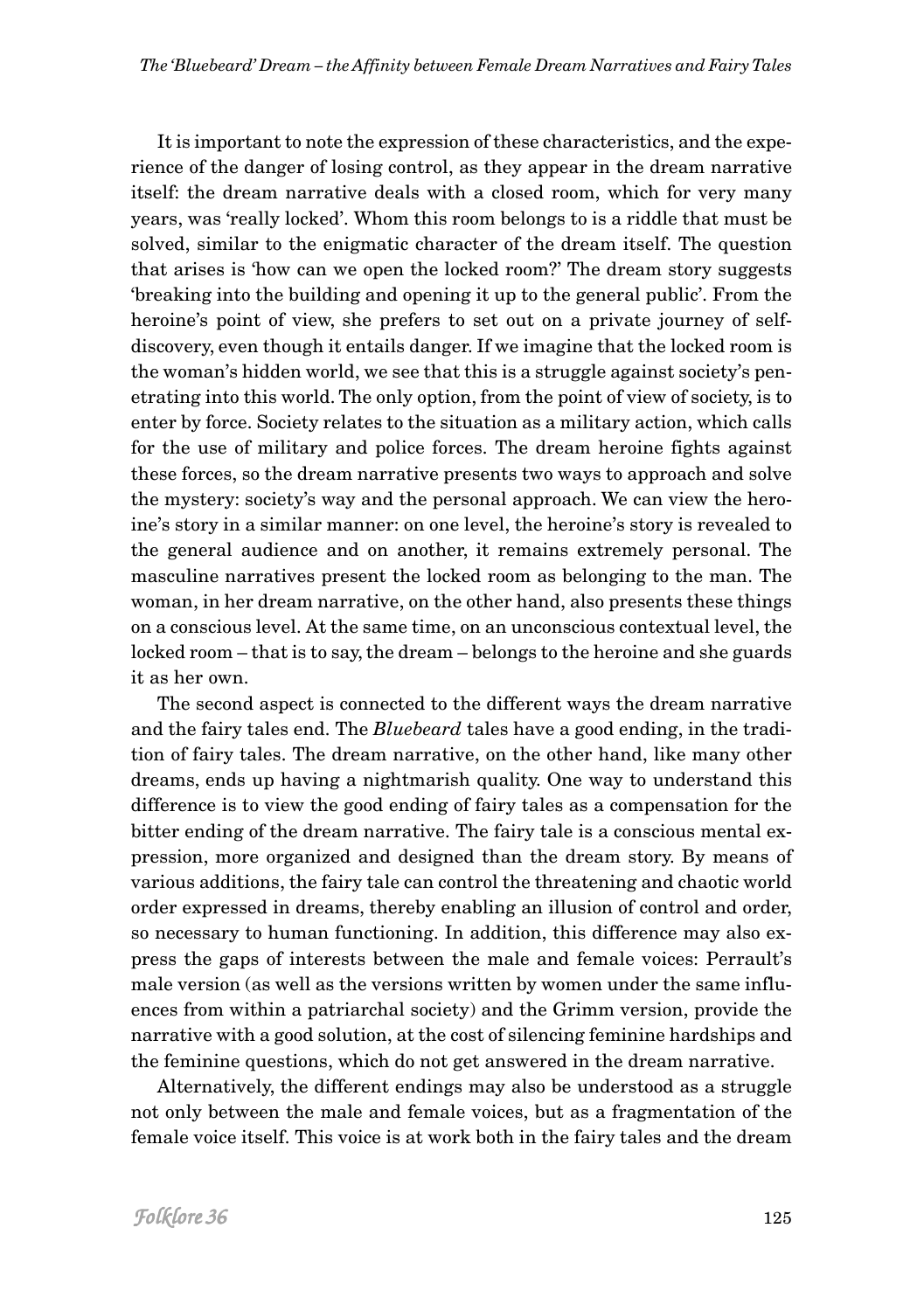It is important to note the expression of these characteristics, and the experience of the danger of losing control, as they appear in the dream narrative itself: the dream narrative deals with a closed room, which for very many years, was 'really locked'. Whom this room belongs to is a riddle that must be solved, similar to the enigmatic character of the dream itself. The question that arises is 'how can we open the locked room?' The dream story suggests 'breaking into the building and opening it up to the general public'. From the heroine's point of view, she prefers to set out on a private journey of selfdiscovery, even though it entails danger. If we imagine that the locked room is the woman's hidden world, we see that this is a struggle against society's penetrating into this world. The only option, from the point of view of society, is to enter by force. Society relates to the situation as a military action, which calls for the use of military and police forces. The dream heroine fights against these forces, so the dream narrative presents two ways to approach and solve the mystery: society's way and the personal approach. We can view the heroine's story in a similar manner: on one level, the heroine's story is revealed to the general audience and on another, it remains extremely personal. The masculine narratives present the locked room as belonging to the man. The woman, in her dream narrative, on the other hand, also presents these things on a conscious level. At the same time, on an unconscious contextual level, the locked room – that is to say, the dream – belongs to the heroine and she guards it as her own.

The second aspect is connected to the different ways the dream narrative and the fairy tales end. The *Bluebeard* tales have a good ending, in the tradition of fairy tales. The dream narrative, on the other hand, like many other dreams, ends up having a nightmarish quality. One way to understand this difference is to view the good ending of fairy tales as a compensation for the bitter ending of the dream narrative. The fairy tale is a conscious mental expression, more organized and designed than the dream story. By means of various additions, the fairy tale can control the threatening and chaotic world order expressed in dreams, thereby enabling an illusion of control and order, so necessary to human functioning. In addition, this difference may also express the gaps of interests between the male and female voices: Perrault's male version (as well as the versions written by women under the same influences from within a patriarchal society) and the Grimm version, provide the narrative with a good solution, at the cost of silencing feminine hardships and the feminine questions, which do not get answered in the dream narrative.

Alternatively, the different endings may also be understood as a struggle not only between the male and female voices, but as a fragmentation of the female voice itself. This voice is at work both in the fairy tales and the dream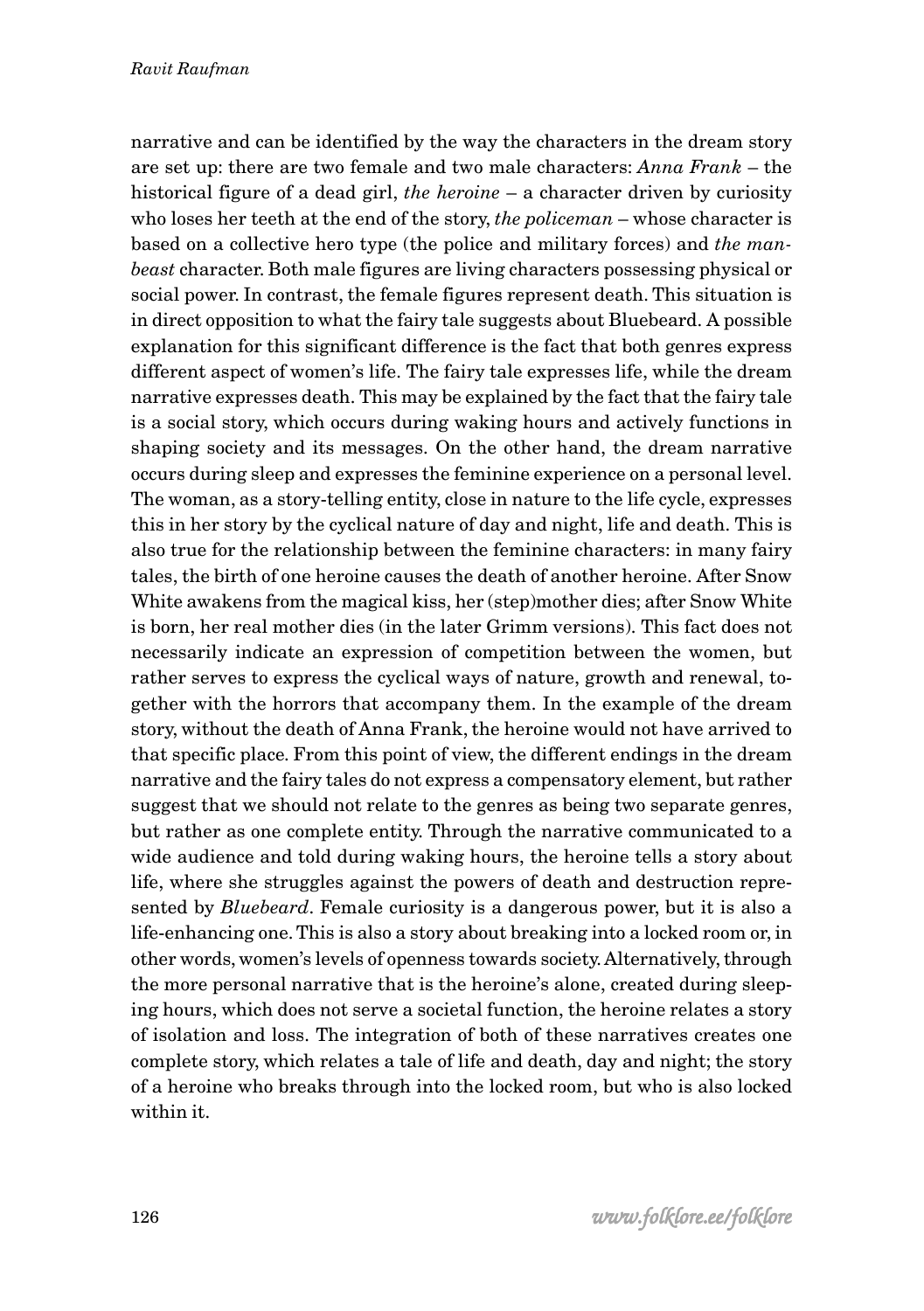narrative and can be identified by the way the characters in the dream story are set up: there are two female and two male characters: *Anna Frank* – the historical figure of a dead girl, *the heroine* – a character driven by curiosity who loses her teeth at the end of the story, *the policeman* – whose character is based on a collective hero type (the police and military forces) and *the manbeast* character. Both male figures are living characters possessing physical or social power. In contrast, the female figures represent death. This situation is in direct opposition to what the fairy tale suggests about Bluebeard. A possible explanation for this significant difference is the fact that both genres express different aspect of women's life. The fairy tale expresses life, while the dream narrative expresses death. This may be explained by the fact that the fairy tale is a social story, which occurs during waking hours and actively functions in shaping society and its messages. On the other hand, the dream narrative occurs during sleep and expresses the feminine experience on a personal level. The woman, as a story-telling entity, close in nature to the life cycle, expresses this in her story by the cyclical nature of day and night, life and death. This is also true for the relationship between the feminine characters: in many fairy tales, the birth of one heroine causes the death of another heroine. After Snow White awakens from the magical kiss, her (step)mother dies; after Snow White is born, her real mother dies (in the later Grimm versions). This fact does not necessarily indicate an expression of competition between the women, but rather serves to express the cyclical ways of nature, growth and renewal, together with the horrors that accompany them. In the example of the dream story, without the death of Anna Frank, the heroine would not have arrived to that specific place. From this point of view, the different endings in the dream narrative and the fairy tales do not express a compensatory element, but rather suggest that we should not relate to the genres as being two separate genres, but rather as one complete entity. Through the narrative communicated to a wide audience and told during waking hours, the heroine tells a story about life, where she struggles against the powers of death and destruction represented by *Bluebeard*. Female curiosity is a dangerous power, but it is also a life-enhancing one. This is also a story about breaking into a locked room or, in other words, women's levels of openness towards society. Alternatively, through the more personal narrative that is the heroine's alone, created during sleeping hours, which does not serve a societal function, the heroine relates a story of isolation and loss. The integration of both of these narratives creates one complete story, which relates a tale of life and death, day and night; the story of a heroine who breaks through into the locked room, but who is also locked within it.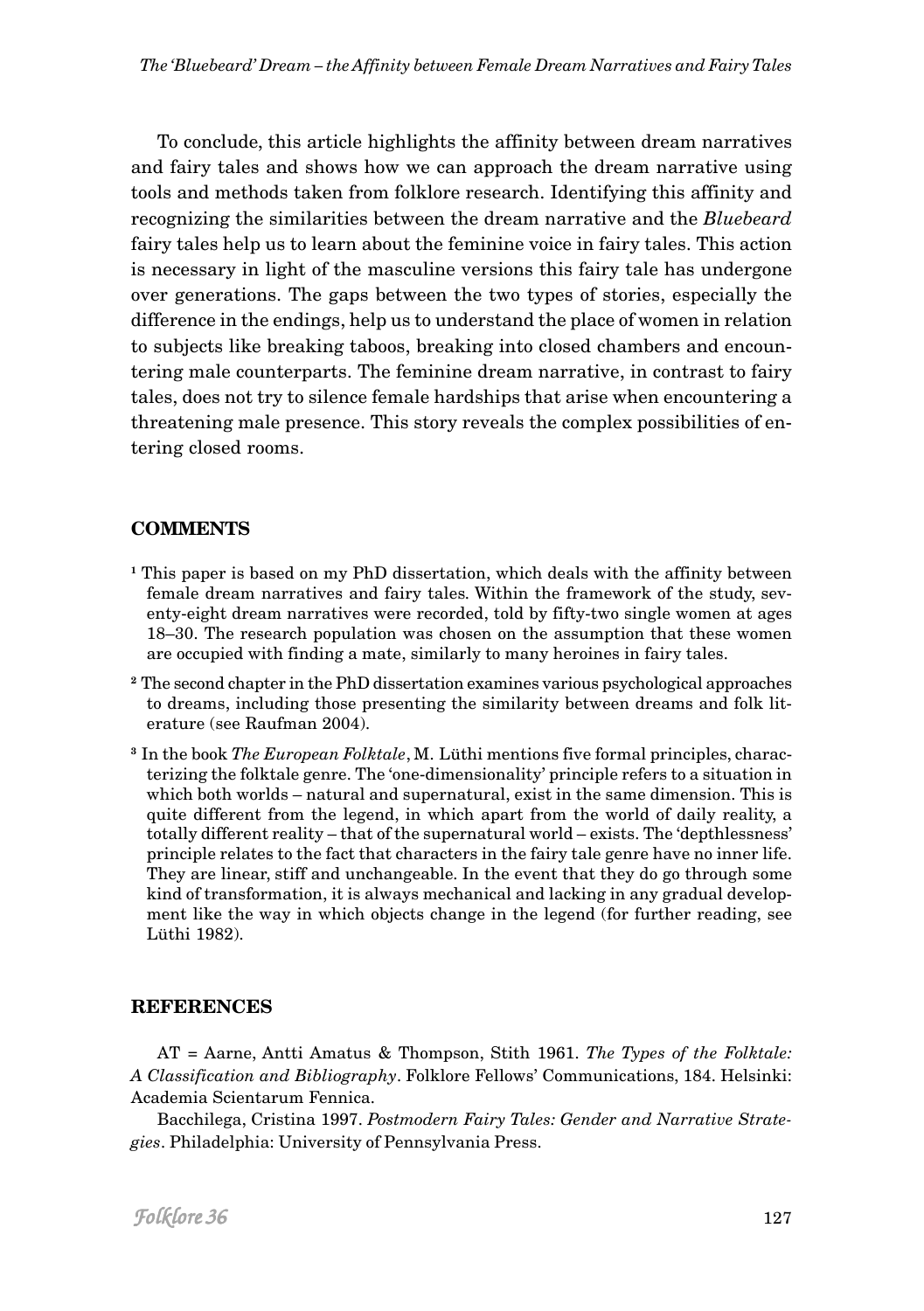To conclude, this article highlights the affinity between dream narratives and fairy tales and shows how we can approach the dream narrative using tools and methods taken from folklore research. Identifying this affinity and recognizing the similarities between the dream narrative and the *Bluebeard* fairy tales help us to learn about the feminine voice in fairy tales. This action is necessary in light of the masculine versions this fairy tale has undergone over generations. The gaps between the two types of stories, especially the difference in the endings, help us to understand the place of women in relation to subjects like breaking taboos, breaking into closed chambers and encountering male counterparts. The feminine dream narrative, in contrast to fairy tales, does not try to silence female hardships that arise when encountering a threatening male presence. This story reveals the complex possibilities of entering closed rooms.

### **COMMENTS**

- **<sup>1</sup>** This paper is based on my PhD dissertation, which deals with the affinity between female dream narratives and fairy tales. Within the framework of the study, seventy-eight dream narratives were recorded, told by fifty-two single women at ages 18–30. The research population was chosen on the assumption that these women are occupied with finding a mate, similarly to many heroines in fairy tales.
- **2** The second chapter in the PhD dissertation examines various psychological approaches to dreams, including those presenting the similarity between dreams and folk literature (see Raufman 2004).
- **3** In the book *The European Folktale*, M. Lüthi mentions five formal principles, characterizing the folktale genre. The 'one-dimensionality' principle refers to a situation in which both worlds – natural and supernatural, exist in the same dimension. This is quite different from the legend, in which apart from the world of daily reality, a totally different reality – that of the supernatural world – exists. The 'depthlessness' principle relates to the fact that characters in the fairy tale genre have no inner life. They are linear, stiff and unchangeable. In the event that they do go through some kind of transformation, it is always mechanical and lacking in any gradual development like the way in which objects change in the legend (for further reading, see Lüthi 1982).

### **REFERENCES**

AT = Aarne, Antti Amatus & Thompson, Stith 1961. *The Types of the Folktale: A Classification and Bibliography*. Folklore Fellows' Communications, 184. Helsinki: Academia Scientarum Fennica.

Bacchilega, Cristina 1997. *Postmodern Fairy Tales: Gender and Narrative Strategies*. Philadelphia: University of Pennsylvania Press.